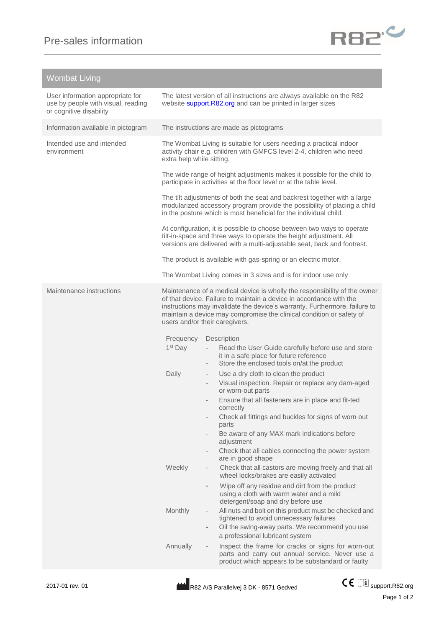

## Wombat Living

| User information appropriate for<br>use by people with visual, reading<br>or cognitive disability |                                                                                                                                                                                                                                                                                                                                          | The latest version of all instructions are always available on the R82<br>website <b>support.R82.org</b> and can be printed in larger sizes                                                      |  |
|---------------------------------------------------------------------------------------------------|------------------------------------------------------------------------------------------------------------------------------------------------------------------------------------------------------------------------------------------------------------------------------------------------------------------------------------------|--------------------------------------------------------------------------------------------------------------------------------------------------------------------------------------------------|--|
| Information available in pictogram                                                                | The instructions are made as pictograms                                                                                                                                                                                                                                                                                                  |                                                                                                                                                                                                  |  |
| Intended use and intended<br>environment                                                          | extra help while sitting.                                                                                                                                                                                                                                                                                                                | The Wombat Living is suitable for users needing a practical indoor<br>activity chair e.g. children with GMFCS level 2-4, children who need                                                       |  |
|                                                                                                   | The wide range of height adjustments makes it possible for the child to<br>participate in activities at the floor level or at the table level.                                                                                                                                                                                           |                                                                                                                                                                                                  |  |
|                                                                                                   | The tilt adjustments of both the seat and backrest together with a large<br>modularized accessory program provide the possibility of placing a child<br>in the posture which is most beneficial for the individual child.                                                                                                                |                                                                                                                                                                                                  |  |
|                                                                                                   | At configuration, it is possible to choose between two ways to operate<br>tilt-in-space and three ways to operate the height adjustment. All<br>versions are delivered with a multi-adjustable seat, back and footrest.                                                                                                                  |                                                                                                                                                                                                  |  |
|                                                                                                   | The product is available with gas-spring or an electric motor.                                                                                                                                                                                                                                                                           |                                                                                                                                                                                                  |  |
|                                                                                                   | The Wombat Living comes in 3 sizes and is for indoor use only                                                                                                                                                                                                                                                                            |                                                                                                                                                                                                  |  |
| Maintenance instructions                                                                          | Maintenance of a medical device is wholly the responsibility of the owner<br>of that device. Failure to maintain a device in accordance with the<br>instructions may invalidate the device's warranty. Furthermore, failure to<br>maintain a device may compromise the clinical condition or safety of<br>users and/or their caregivers. |                                                                                                                                                                                                  |  |
|                                                                                                   | Frequency                                                                                                                                                                                                                                                                                                                                | Description                                                                                                                                                                                      |  |
|                                                                                                   | 1 <sup>st</sup> Day                                                                                                                                                                                                                                                                                                                      | Read the User Guide carefully before use and store<br>it in a safe place for future reference<br>Store the enclosed tools on/at the product<br>$\overline{\phantom{a}}$                          |  |
|                                                                                                   | Daily                                                                                                                                                                                                                                                                                                                                    | Use a dry cloth to clean the product<br>Visual inspection. Repair or replace any dam-aged<br>or worn-out parts                                                                                   |  |
|                                                                                                   |                                                                                                                                                                                                                                                                                                                                          | Ensure that all fasteners are in place and fit-ted<br>correctly                                                                                                                                  |  |
|                                                                                                   |                                                                                                                                                                                                                                                                                                                                          | Check all fittings and buckles for signs of worn out<br>$\overline{\phantom{a}}$                                                                                                                 |  |
|                                                                                                   |                                                                                                                                                                                                                                                                                                                                          | parts<br>Be aware of any MAX mark indications before<br>adjustment                                                                                                                               |  |
|                                                                                                   |                                                                                                                                                                                                                                                                                                                                          | Check that all cables connecting the power system                                                                                                                                                |  |
|                                                                                                   | Weekly                                                                                                                                                                                                                                                                                                                                   | are in good shape<br>Check that all castors are moving freely and that all<br>wheel locks/brakes are easily activated                                                                            |  |
|                                                                                                   |                                                                                                                                                                                                                                                                                                                                          | Wipe off any residue and dirt from the product<br>using a cloth with warm water and a mild<br>detergent/soap and dry before use                                                                  |  |
|                                                                                                   | Monthly                                                                                                                                                                                                                                                                                                                                  | All nuts and bolt on this product must be checked and<br>$\overline{\phantom{a}}$<br>tightened to avoid unnecessary failures<br>Oil the swing-away parts. We recommend you use<br>$\blacksquare$ |  |
|                                                                                                   |                                                                                                                                                                                                                                                                                                                                          | a professional lubricant system                                                                                                                                                                  |  |
|                                                                                                   | Annually                                                                                                                                                                                                                                                                                                                                 | Inspect the frame for cracks or signs for worn-out<br>$\overline{\phantom{a}}$<br>parts and carry out annual service. Never use a<br>product which appears to be substandard or faulty           |  |